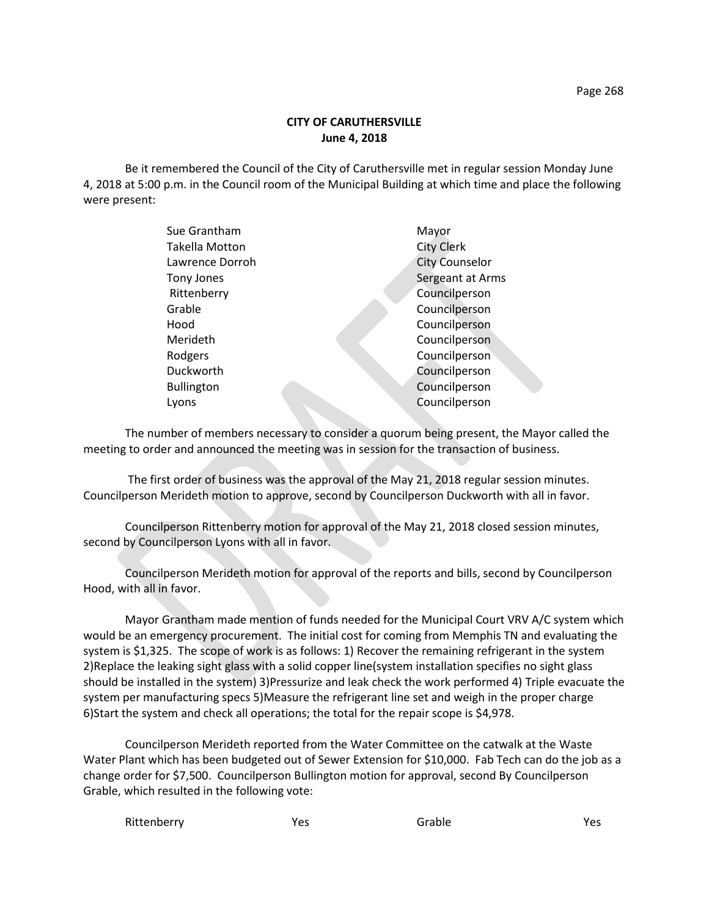## **CITY OF CARUTHERSVILLE June 4, 2018**

Be it remembered the Council of the City of Caruthersville met in regular session Monday June 4, 2018 at 5:00 p.m. in the Council room of the Municipal Building at which time and place the following were present:

| Sue Grantham          | Mayor                 |
|-----------------------|-----------------------|
| <b>Takella Motton</b> | <b>City Clerk</b>     |
| Lawrence Dorroh       | <b>City Counselor</b> |
| Tony Jones            | Sergeant at Arms      |
| Rittenberry           | Councilperson         |
| Grable                | Councilperson         |
| Hood                  | Councilperson         |
| Merideth              | Councilperson         |
| Rodgers               | Councilperson         |
| Duckworth             | Councilperson         |
| <b>Bullington</b>     | Councilperson         |
| Lyons                 | Councilperson         |
|                       |                       |

The number of members necessary to consider a quorum being present, the Mayor called the meeting to order and announced the meeting was in session for the transaction of business.

The first order of business was the approval of the May 21, 2018 regular session minutes. Councilperson Merideth motion to approve, second by Councilperson Duckworth with all in favor.

Councilperson Rittenberry motion for approval of the May 21, 2018 closed session minutes, second by Councilperson Lyons with all in favor.

Councilperson Merideth motion for approval of the reports and bills, second by Councilperson Hood, with all in favor.

Mayor Grantham made mention of funds needed for the Municipal Court VRV A/C system which would be an emergency procurement. The initial cost for coming from Memphis TN and evaluating the system is \$1,325. The scope of work is as follows: 1) Recover the remaining refrigerant in the system 2)Replace the leaking sight glass with a solid copper line(system installation specifies no sight glass should be installed in the system) 3)Pressurize and leak check the work performed 4) Triple evacuate the system per manufacturing specs 5)Measure the refrigerant line set and weigh in the proper charge 6)Start the system and check all operations; the total for the repair scope is \$4,978.

Councilperson Merideth reported from the Water Committee on the catwalk at the Waste Water Plant which has been budgeted out of Sewer Extension for \$10,000. Fab Tech can do the job as a change order for \$7,500. Councilperson Bullington motion for approval, second By Councilperson Grable, which resulted in the following vote:

| Rittenberry | Yes | Grable | Yes |
|-------------|-----|--------|-----|
|-------------|-----|--------|-----|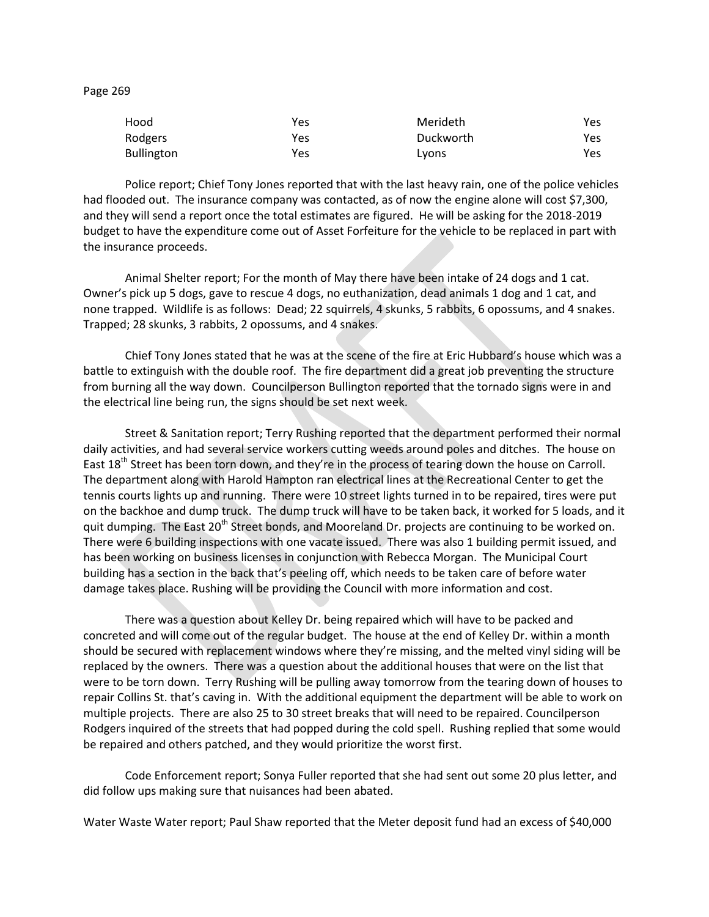Page 269

| Hood              | Yes | Merideth  | Yes |
|-------------------|-----|-----------|-----|
| Rodgers           | Yes | Duckworth | Yes |
| <b>Bullington</b> | Yes | Lyons     | Yes |

Police report; Chief Tony Jones reported that with the last heavy rain, one of the police vehicles had flooded out. The insurance company was contacted, as of now the engine alone will cost \$7,300, and they will send a report once the total estimates are figured. He will be asking for the 2018-2019 budget to have the expenditure come out of Asset Forfeiture for the vehicle to be replaced in part with the insurance proceeds.

Animal Shelter report; For the month of May there have been intake of 24 dogs and 1 cat. Owner's pick up 5 dogs, gave to rescue 4 dogs, no euthanization, dead animals 1 dog and 1 cat, and none trapped. Wildlife is as follows: Dead; 22 squirrels, 4 skunks, 5 rabbits, 6 opossums, and 4 snakes. Trapped; 28 skunks, 3 rabbits, 2 opossums, and 4 snakes.

Chief Tony Jones stated that he was at the scene of the fire at Eric Hubbard's house which was a battle to extinguish with the double roof. The fire department did a great job preventing the structure from burning all the way down. Councilperson Bullington reported that the tornado signs were in and the electrical line being run, the signs should be set next week.

Street & Sanitation report; Terry Rushing reported that the department performed their normal daily activities, and had several service workers cutting weeds around poles and ditches. The house on East 18<sup>th</sup> Street has been torn down, and they're in the process of tearing down the house on Carroll. The department along with Harold Hampton ran electrical lines at the Recreational Center to get the tennis courts lights up and running. There were 10 street lights turned in to be repaired, tires were put on the backhoe and dump truck. The dump truck will have to be taken back, it worked for 5 loads, and it quit dumping. The East 20<sup>th</sup> Street bonds, and Mooreland Dr. projects are continuing to be worked on. There were 6 building inspections with one vacate issued. There was also 1 building permit issued, and has been working on business licenses in conjunction with Rebecca Morgan. The Municipal Court building has a section in the back that's peeling off, which needs to be taken care of before water damage takes place. Rushing will be providing the Council with more information and cost.

There was a question about Kelley Dr. being repaired which will have to be packed and concreted and will come out of the regular budget. The house at the end of Kelley Dr. within a month should be secured with replacement windows where they're missing, and the melted vinyl siding will be replaced by the owners. There was a question about the additional houses that were on the list that were to be torn down. Terry Rushing will be pulling away tomorrow from the tearing down of houses to repair Collins St. that's caving in. With the additional equipment the department will be able to work on multiple projects. There are also 25 to 30 street breaks that will need to be repaired. Councilperson Rodgers inquired of the streets that had popped during the cold spell. Rushing replied that some would be repaired and others patched, and they would prioritize the worst first.

Code Enforcement report; Sonya Fuller reported that she had sent out some 20 plus letter, and did follow ups making sure that nuisances had been abated.

Water Waste Water report; Paul Shaw reported that the Meter deposit fund had an excess of \$40,000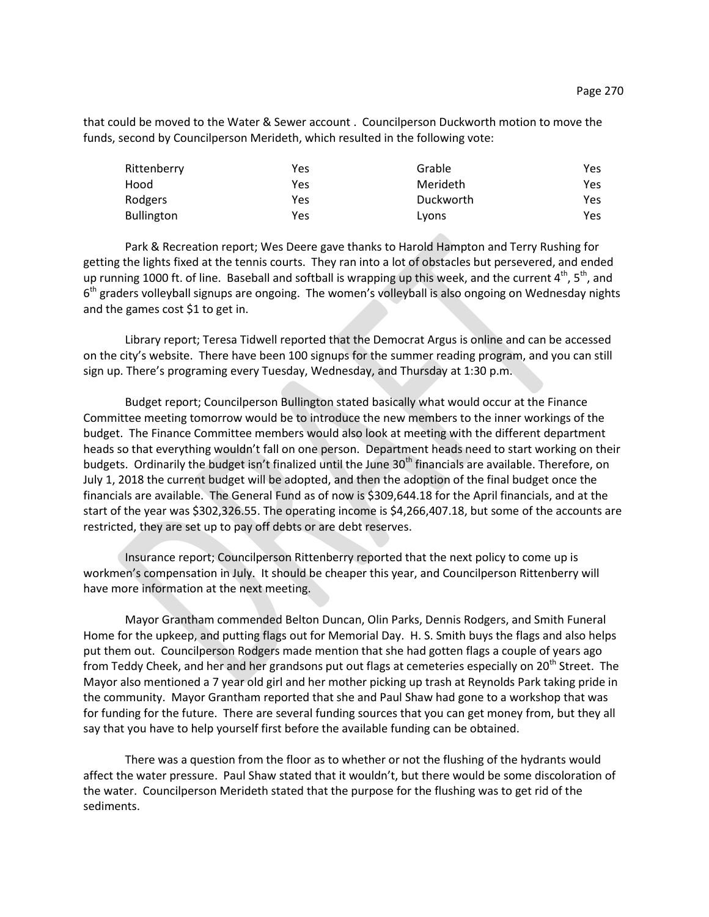that could be moved to the Water & Sewer account . Councilperson Duckworth motion to move the funds, second by Councilperson Merideth, which resulted in the following vote:

| Rittenberry       | Yes | Grable    | Yes. |
|-------------------|-----|-----------|------|
| Hood              | Yes | Merideth  | Yes. |
| Rodgers           | Yes | Duckworth | Yes. |
| <b>Bullington</b> | Yes | Lyons     | Yes. |

Park & Recreation report; Wes Deere gave thanks to Harold Hampton and Terry Rushing for getting the lights fixed at the tennis courts. They ran into a lot of obstacles but persevered, and ended up running 1000 ft. of line. Baseball and softball is wrapping up this week, and the current  $4<sup>th</sup>$ , 5<sup>th</sup>, and 6<sup>th</sup> graders volleyball signups are ongoing. The women's volleyball is also ongoing on Wednesday nights and the games cost \$1 to get in.

Library report; Teresa Tidwell reported that the Democrat Argus is online and can be accessed on the city's website. There have been 100 signups for the summer reading program, and you can still sign up. There's programing every Tuesday, Wednesday, and Thursday at 1:30 p.m.

Budget report; Councilperson Bullington stated basically what would occur at the Finance Committee meeting tomorrow would be to introduce the new members to the inner workings of the budget. The Finance Committee members would also look at meeting with the different department heads so that everything wouldn't fall on one person. Department heads need to start working on their budgets. Ordinarily the budget isn't finalized until the June 30<sup>th</sup> financials are available. Therefore, on July 1, 2018 the current budget will be adopted, and then the adoption of the final budget once the financials are available. The General Fund as of now is \$309,644.18 for the April financials, and at the start of the year was \$302,326.55. The operating income is \$4,266,407.18, but some of the accounts are restricted, they are set up to pay off debts or are debt reserves.

Insurance report; Councilperson Rittenberry reported that the next policy to come up is workmen's compensation in July. It should be cheaper this year, and Councilperson Rittenberry will have more information at the next meeting.

Mayor Grantham commended Belton Duncan, Olin Parks, Dennis Rodgers, and Smith Funeral Home for the upkeep, and putting flags out for Memorial Day. H. S. Smith buys the flags and also helps put them out. Councilperson Rodgers made mention that she had gotten flags a couple of years ago from Teddy Cheek, and her and her grandsons put out flags at cemeteries especially on 20<sup>th</sup> Street. The Mayor also mentioned a 7 year old girl and her mother picking up trash at Reynolds Park taking pride in the community. Mayor Grantham reported that she and Paul Shaw had gone to a workshop that was for funding for the future. There are several funding sources that you can get money from, but they all say that you have to help yourself first before the available funding can be obtained.

There was a question from the floor as to whether or not the flushing of the hydrants would affect the water pressure. Paul Shaw stated that it wouldn't, but there would be some discoloration of the water. Councilperson Merideth stated that the purpose for the flushing was to get rid of the sediments.